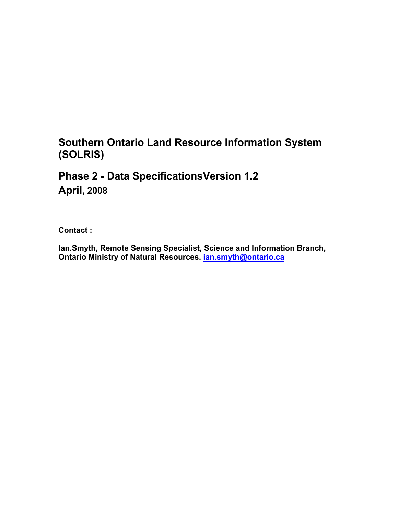## **Southern Ontario Land Resource Information System (SOLRIS)**

## **Phase 2 - Data SpecificationsVersion 1.2 April, 2008**

**Contact :** 

**Ian.Smyth, Remote Sensing Specialist, Science and Information Branch, Ontario Ministry of Natural Resources. ian.smyth@ontario.ca**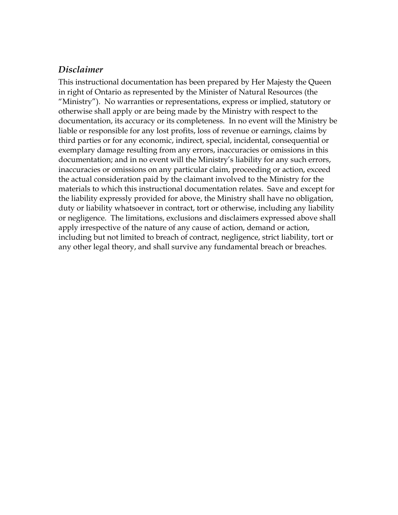## *Disclaimer*

This instructional documentation has been prepared by Her Majesty the Queen in right of Ontario as represented by the Minister of Natural Resources (the "Ministry"). No warranties or representations, express or implied, statutory or otherwise shall apply or are being made by the Ministry with respect to the documentation, its accuracy or its completeness. In no event will the Ministry be liable or responsible for any lost profits, loss of revenue or earnings, claims by third parties or for any economic, indirect, special, incidental, consequential or exemplary damage resulting from any errors, inaccuracies or omissions in this documentation; and in no event will the Ministry's liability for any such errors, inaccuracies or omissions on any particular claim, proceeding or action, exceed the actual consideration paid by the claimant involved to the Ministry for the materials to which this instructional documentation relates. Save and except for the liability expressly provided for above, the Ministry shall have no obligation, duty or liability whatsoever in contract, tort or otherwise, including any liability or negligence. The limitations, exclusions and disclaimers expressed above shall apply irrespective of the nature of any cause of action, demand or action, including but not limited to breach of contract, negligence, strict liability, tort or any other legal theory, and shall survive any fundamental breach or breaches.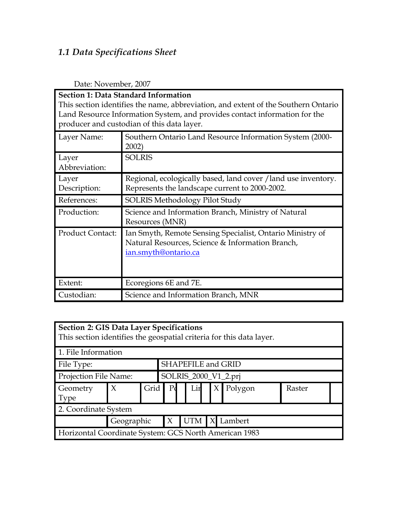# *1.1 Data Specifications Sheet*

| <b>Section 1: Data Standard Information</b><br>This section identifies the name, abbreviation, and extent of the Southern Ontario<br>Land Resource Information System, and provides contact information for the |                                                                                                                                       |  |  |  |  |  |  |  |
|-----------------------------------------------------------------------------------------------------------------------------------------------------------------------------------------------------------------|---------------------------------------------------------------------------------------------------------------------------------------|--|--|--|--|--|--|--|
| producer and custodian of this data layer.                                                                                                                                                                      |                                                                                                                                       |  |  |  |  |  |  |  |
| Layer Name:                                                                                                                                                                                                     | Southern Ontario Land Resource Information System (2000-<br>2002)                                                                     |  |  |  |  |  |  |  |
| Layer<br>Abbreviation:                                                                                                                                                                                          | <b>SOLRIS</b>                                                                                                                         |  |  |  |  |  |  |  |
| Layer<br>Description:                                                                                                                                                                                           | Regional, ecologically based, land cover / land use inventory.<br>Represents the landscape current to 2000-2002.                      |  |  |  |  |  |  |  |
| References:                                                                                                                                                                                                     | <b>SOLRIS Methodology Pilot Study</b>                                                                                                 |  |  |  |  |  |  |  |
| Production:                                                                                                                                                                                                     | Science and Information Branch, Ministry of Natural<br>Resources (MNR)                                                                |  |  |  |  |  |  |  |
| <b>Product Contact:</b>                                                                                                                                                                                         | Ian Smyth, Remote Sensing Specialist, Ontario Ministry of<br>Natural Resources, Science & Information Branch,<br>ian.smyth@ontario.ca |  |  |  |  |  |  |  |
| Extent:                                                                                                                                                                                                         | Ecoregions 6E and 7E.                                                                                                                 |  |  |  |  |  |  |  |
| Custodian:                                                                                                                                                                                                      | Science and Information Branch, MNR                                                                                                   |  |  |  |  |  |  |  |

Date: November, 2007

| <b>Section 2: GIS Data Layer Specifications</b><br>This section identifies the geospatial criteria for this data layer. |                    |      |                                                 |  |  |  |  |                      |  |  |
|-------------------------------------------------------------------------------------------------------------------------|--------------------|------|-------------------------------------------------|--|--|--|--|----------------------|--|--|
| 1. File Information                                                                                                     |                    |      |                                                 |  |  |  |  |                      |  |  |
| File Type:                                                                                                              | SHAPEFILE and GRID |      |                                                 |  |  |  |  |                      |  |  |
| Projection File Name:                                                                                                   |                    |      |                                                 |  |  |  |  | SOLRIS_2000_V1_2.prj |  |  |
| Geometry<br>Type                                                                                                        | $\chi$             | Grid | Polygon<br>P <sub>0</sub><br>Lin<br>Raster<br>X |  |  |  |  |                      |  |  |
| 2. Coordinate System                                                                                                    |                    |      |                                                 |  |  |  |  |                      |  |  |
| $\boldsymbol{\chi}$<br>UTM<br>Lambert<br>Geographic<br>$\boldsymbol{\chi}$                                              |                    |      |                                                 |  |  |  |  |                      |  |  |
| Horizontal Coordinate System: GCS North American 1983                                                                   |                    |      |                                                 |  |  |  |  |                      |  |  |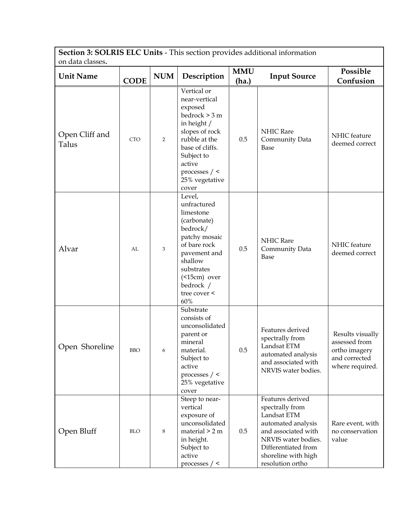**Section 3: SOLRIS ELC Units** - This section provides additional information on data classes**.**

| un uata ciasses.<br><b>Unit Name</b> | <b>CODE</b> | <b>NUM</b>     | Description                                                                                                                                                                                         | <b>MMU</b><br>(ha.) | <b>Input Source</b>                                                                                                                                                                      | Possible<br>Confusion                                                                  |
|--------------------------------------|-------------|----------------|-----------------------------------------------------------------------------------------------------------------------------------------------------------------------------------------------------|---------------------|------------------------------------------------------------------------------------------------------------------------------------------------------------------------------------------|----------------------------------------------------------------------------------------|
| Open Cliff and<br>Talus              | <b>CTO</b>  | $\overline{2}$ | Vertical or<br>near-vertical<br>exposed<br>bedrock > 3 m<br>in height /<br>slopes of rock<br>rubble at the<br>base of cliffs.<br>Subject to<br>active<br>processes $/$ <<br>25% vegetative<br>cover | 0.5                 | NHIC Rare<br>Community Data<br>Base                                                                                                                                                      | NHIC feature<br>deemed correct                                                         |
| Alvar                                | AL          | 3              | Level,<br>unfractured<br>limestone<br>(carbonate)<br>bedrock/<br>patchy mosaic<br>of bare rock<br>pavement and<br>shallow<br>substrates<br>$($ <15cm $)$ over<br>bedrock /<br>tree cover <<br>60%   | 0.5                 | NHIC Rare<br>Community Data<br>Base                                                                                                                                                      | NHIC feature<br>deemed correct                                                         |
| Open Shoreline                       | <b>BBO</b>  | 6              | Substrate<br>consists of<br>unconsolidated<br>parent or<br>mineral<br>material.<br>Subject to<br>active<br>processes $/$ <<br>25% vegetative<br>cover                                               | 0.5                 | Features derived<br>spectrally from<br>Landsat ETM<br>automated analysis<br>and associated with<br>NRVIS water bodies.                                                                   | Results visually<br>assessed from<br>ortho imagery<br>and corrected<br>where required. |
| Open Bluff                           | <b>BLO</b>  | 8              | Steep to near-<br>vertical<br>exposure of<br>unconsolidated<br>material $> 2 m$<br>in height.<br>Subject to<br>active<br>processes $/$ <                                                            | 0.5                 | Features derived<br>spectrally from<br>Landsat ETM<br>automated analysis<br>and associated with<br>NRVIS water bodies.<br>Differentiated from<br>shoreline with high<br>resolution ortho | Rare event, with<br>no conservation<br>value                                           |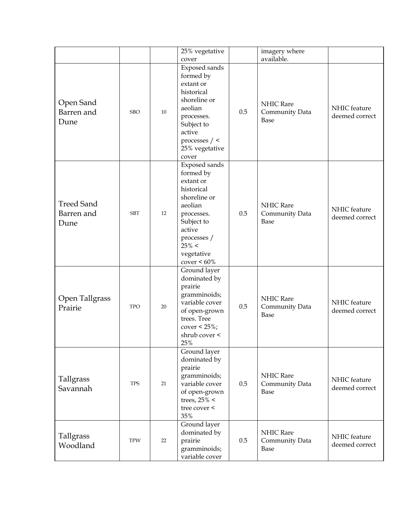|                                         |            |    | 25% vegetative<br>cover                                                                                                                                                           |     | imagery where<br>available.         |                                |
|-----------------------------------------|------------|----|-----------------------------------------------------------------------------------------------------------------------------------------------------------------------------------|-----|-------------------------------------|--------------------------------|
| Open Sand<br>Barren and<br>Dune         | <b>SBO</b> | 10 | Exposed sands<br>formed by<br>extant or<br>historical<br>shoreline or<br>aeolian<br>processes.<br>Subject to<br>active<br>processes $/$ <<br>25% vegetative<br>cover              | 0.5 | NHIC Rare<br>Community Data<br>Base | NHIC feature<br>deemed correct |
| <b>Treed Sand</b><br>Barren and<br>Dune | <b>SBT</b> | 12 | Exposed sands<br>formed by<br>extant or<br>historical<br>shoreline or<br>aeolian<br>processes.<br>Subject to<br>active<br>processes /<br>$25\% <$<br>vegetative<br>$cover < 60\%$ | 0.5 | NHIC Rare<br>Community Data<br>Base | NHIC feature<br>deemed correct |
| Open Tallgrass<br>Prairie               | <b>TPO</b> | 20 | Ground layer<br>dominated by<br>prairie<br>gramminoids;<br>variable cover<br>of open-grown<br>trees. Tree<br>cover < $25\%$ ;<br>shrub cover <<br>25%                             | 0.5 | NHIC Rare<br>Community Data<br>Base | NHIC feature<br>deemed correct |
| Tallgrass<br>Savannah                   | <b>TPS</b> | 21 | Ground layer<br>dominated by<br>prairie<br>gramminoids;<br>variable cover<br>of open-grown<br>trees, $25\% <$<br>tree cover <<br>35%                                              | 0.5 | NHIC Rare<br>Community Data<br>Base | NHIC feature<br>deemed correct |
| Tallgrass<br>Woodland                   | <b>TPW</b> | 22 | Ground layer<br>dominated by<br>prairie<br>gramminoids;<br>variable cover                                                                                                         | 0.5 | NHIC Rare<br>Community Data<br>Base | NHIC feature<br>deemed correct |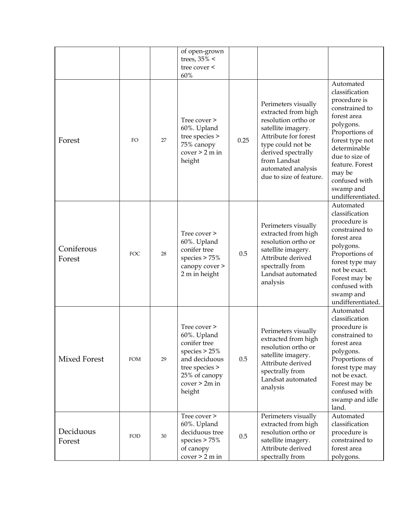|                      |            |    | of open-grown<br>trees, $35\% <$<br>tree cover <<br>60%                                                                                         |      |                                                                                                                                                                                                                             |                                                                                                                                                                                                                                                  |
|----------------------|------------|----|-------------------------------------------------------------------------------------------------------------------------------------------------|------|-----------------------------------------------------------------------------------------------------------------------------------------------------------------------------------------------------------------------------|--------------------------------------------------------------------------------------------------------------------------------------------------------------------------------------------------------------------------------------------------|
| Forest               | FO         | 27 | Tree cover ><br>60%. Upland<br>tree species ><br>75% canopy<br>cover > 2 m in<br>height                                                         | 0.25 | Perimeters visually<br>extracted from high<br>resolution ortho or<br>satellite imagery.<br>Attribute for forest<br>type could not be<br>derived spectrally<br>from Landsat<br>automated analysis<br>due to size of feature. | Automated<br>classification<br>procedure is<br>constrained to<br>forest area<br>polygons.<br>Proportions of<br>forest type not<br>determinable<br>due to size of<br>feature. Forest<br>may be<br>confused with<br>swamp and<br>undifferentiated. |
| Coniferous<br>Forest | <b>FOC</b> | 28 | Tree cover ><br>60%. Upland<br>conifer tree<br>species $> 75%$<br>canopy cover ><br>2 m in height                                               | 0.5  | Perimeters visually<br>extracted from high<br>resolution ortho or<br>satellite imagery.<br>Attribute derived<br>spectrally from<br>Landsat automated<br>analysis                                                            | Automated<br>classification<br>procedure is<br>constrained to<br>forest area<br>polygons.<br>Proportions of<br>forest type may<br>not be exact.<br>Forest may be<br>confused with<br>swamp and<br>undifferentiated.                              |
| Mixed Forest         | <b>FOM</b> | 29 | Tree cover ><br>60%. Upland<br>conifer tree<br>species $> 25%$<br>and deciduous<br>tree species ><br>25% of canopy<br>$cover > 2m$ in<br>height | 0.5  | Perimeters visually<br>extracted from high<br>resolution ortho or<br>satellite imagery.<br>Attribute derived<br>spectrally from<br>Landsat automated<br>analysis                                                            | Automated<br>classification<br>procedure is<br>constrained to<br>forest area<br>polygons.<br>Proportions of<br>forest type may<br>not be exact.<br>Forest may be<br>confused with<br>swamp and idle<br>land.                                     |
| Deciduous<br>Forest  | FOD        | 30 | Tree cover ><br>60%. Upland<br>deciduous tree<br>species $> 75%$<br>of canopy<br>cover > 2 m in                                                 | 0.5  | Perimeters visually<br>extracted from high<br>resolution ortho or<br>satellite imagery.<br>Attribute derived<br>spectrally from                                                                                             | Automated<br>classification<br>procedure is<br>constrained to<br>forest area<br>polygons.                                                                                                                                                        |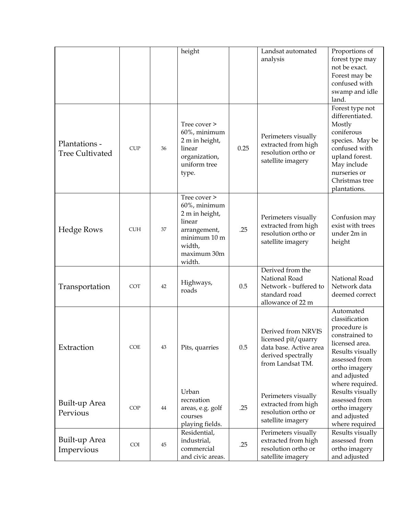|                                         |            |    | height                                                                                                                      |      | Landsat automated<br>analysis                                                                                 | Proportions of<br>forest type may<br>not be exact.<br>Forest may be<br>confused with<br>swamp and idle<br>land.                                                                   |
|-----------------------------------------|------------|----|-----------------------------------------------------------------------------------------------------------------------------|------|---------------------------------------------------------------------------------------------------------------|-----------------------------------------------------------------------------------------------------------------------------------------------------------------------------------|
| Plantations -<br><b>Tree Cultivated</b> | <b>CUP</b> | 36 | Tree cover ><br>60%, minimum<br>2 m in height,<br>linear<br>organization,<br>uniform tree<br>type.                          | 0.25 | Perimeters visually<br>extracted from high<br>resolution ortho or<br>satellite imagery                        | Forest type not<br>differentiated.<br>Mostly<br>coniferous<br>species. May be<br>confused with<br>upland forest.<br>May include<br>nurseries or<br>Christmas tree<br>plantations. |
| <b>Hedge Rows</b>                       | <b>CUH</b> | 37 | Tree cover ><br>60%, minimum<br>2 m in height,<br>linear<br>arrangement,<br>minimum 10 m<br>width,<br>maximum 30m<br>width. | .25  | Perimeters visually<br>extracted from high<br>resolution ortho or<br>satellite imagery                        | Confusion may<br>exist with trees<br>under 2m in<br>height                                                                                                                        |
| Transportation                          | <b>COT</b> | 42 | Highways,<br>roads                                                                                                          | 0.5  | Derived from the<br>National Road<br>Network - buffered to<br>standard road<br>allowance of 22 m              | National Road<br>Network data<br>deemed correct                                                                                                                                   |
| Extraction                              | <b>COE</b> | 43 | Pits, quarries                                                                                                              | 0.5  | Derived from NRVIS<br>licensed pit/quarry<br>data base. Active area<br>derived spectrally<br>from Landsat TM. | Automated<br>classification<br>procedure is<br>constrained to<br>licensed area.<br>Results visually<br>assessed from<br>ortho imagery<br>and adjusted<br>where required.          |
| Built-up Area<br>Pervious               | <b>COP</b> | 44 | Urban<br>recreation<br>areas, e.g. golf<br>courses<br>playing fields.                                                       | .25  | Perimeters visually<br>extracted from high<br>resolution ortho or<br>satellite imagery                        | Results visually<br>assessed from<br>ortho imagery<br>and adjusted<br>where required                                                                                              |
| Built-up Area<br>Impervious             | <b>COI</b> | 45 | Residential,<br>industrial,<br>commercial<br>and civic areas.                                                               | .25  | Perimeters visually<br>extracted from high<br>resolution ortho or<br>satellite imagery                        | Results visually<br>assessed from<br>ortho imagery<br>and adjusted                                                                                                                |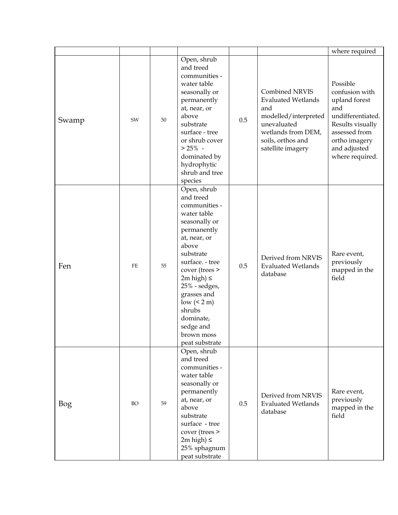|       |    |    |                                                                                                                                                                                                                                                                                                                 |     |                                                                                                                                                           | where required                                                                                                                                                   |
|-------|----|----|-----------------------------------------------------------------------------------------------------------------------------------------------------------------------------------------------------------------------------------------------------------------------------------------------------------------|-----|-----------------------------------------------------------------------------------------------------------------------------------------------------------|------------------------------------------------------------------------------------------------------------------------------------------------------------------|
| Swamp | SW | 50 | Open, shrub<br>and treed<br>communities -<br>water table<br>seasonally or<br>permanently<br>at, near, or<br>above<br>substrate<br>surface - tree<br>or shrub cover<br>$> 25\%$ -<br>dominated by<br>hydrophytic<br>shrub and tree<br>species                                                                    | 0.5 | Combined NRVIS<br><b>Evaluated Wetlands</b><br>and<br>modelled/interpreted<br>unevaluated<br>wetlands from DEM,<br>soils, orthos and<br>satellite imagery | Possible<br>confusion with<br>upland forest<br>and<br>undifferentiated.<br>Results visually<br>assessed from<br>ortho imagery<br>and adjusted<br>where required. |
| Fen   | FE | 55 | Open, shrub<br>and treed<br>communities -<br>water table<br>seasonally or<br>permanently<br>at, near, or<br>above<br>substrate<br>surface. - tree<br>cover (trees ><br>$2m$ high) $\leq$<br>25% - sedges,<br>grasses and<br>$low \leq 2 m)$<br>shrubs<br>dominate,<br>sedge and<br>brown moss<br>peat substrate | 0.5 | Derived from NRVIS<br><b>Evaluated Wetlands</b><br>database                                                                                               | Rare event,<br>previously<br>mapped in the<br>field                                                                                                              |
| Bog   | BO | 59 | Open, shrub<br>and treed<br>communities -<br>water table<br>seasonally or<br>permanently<br>at, near, or<br>above<br>substrate<br>surface - tree<br>cover (trees ><br>$2m$ high) $\leq$<br>25% sphagnum<br>peat substrate                                                                                       | 0.5 | Derived from NRVIS<br><b>Evaluated Wetlands</b><br>database                                                                                               | Rare event,<br>previously<br>mapped in the<br>field                                                                                                              |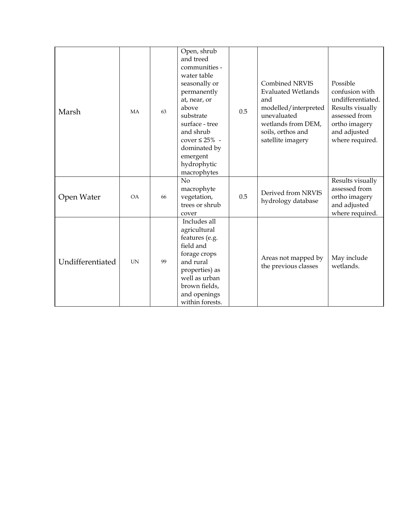| Marsh            | <b>MA</b> | 63 | Open, shrub<br>and treed<br>communities -<br>water table<br>seasonally or<br>permanently<br>at, near, or<br>above<br>substrate<br>surface - tree<br>and shrub<br>cover $\leq 25\%$ -<br>dominated by<br>emergent<br>hydrophytic<br>macrophytes | 0.5 | <b>Combined NRVIS</b><br><b>Evaluated Wetlands</b><br>and<br>modelled/interpreted<br>unevaluated<br>wetlands from DEM,<br>soils, orthos and<br>satellite imagery | Possible<br>confusion with<br>undifferentiated.<br>Results visually<br>assessed from<br>ortho imagery<br>and adjusted<br>where required. |
|------------------|-----------|----|------------------------------------------------------------------------------------------------------------------------------------------------------------------------------------------------------------------------------------------------|-----|------------------------------------------------------------------------------------------------------------------------------------------------------------------|------------------------------------------------------------------------------------------------------------------------------------------|
| Open Water       | OA        | 66 | No<br>macrophyte<br>vegetation,<br>trees or shrub<br>cover                                                                                                                                                                                     | 0.5 | Derived from NRVIS<br>hydrology database                                                                                                                         | Results visually<br>assessed from<br>ortho imagery<br>and adjusted<br>where required.                                                    |
| Undifferentiated | <b>UN</b> | 99 | Includes all<br>agricultural<br>features (e.g.<br>field and<br>forage crops<br>and rural<br>properties) as<br>well as urban<br>brown fields,<br>and openings<br>within forests.                                                                |     | Areas not mapped by<br>the previous classes                                                                                                                      | May include<br>wetlands.                                                                                                                 |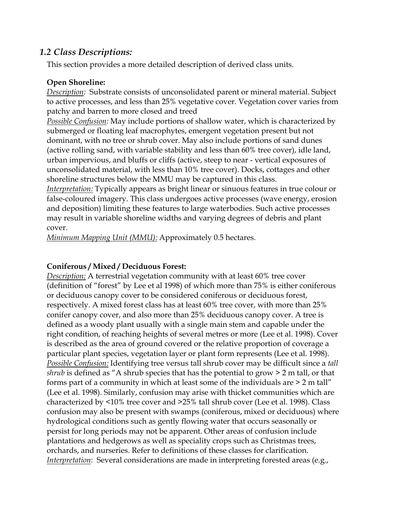## *1.2 Class Descriptions:*

This section provides a more detailed description of derived class units.

### **Open Shoreline:**

*Description:* Substrate consists of unconsolidated parent or mineral material. Subject to active processes, and less than 25% vegetative cover. Vegetation cover varies from patchy and barren to more closed and treed

*Possible Confusion:* May include portions of shallow water, which is characterized by submerged or floating leaf macrophytes, emergent vegetation present but not dominant, with no tree or shrub cover. May also include portions of sand dunes (active rolling sand, with variable stability and less than 60% tree cover), idle land, urban impervious, and bluffs or cliffs (active, steep to near - vertical exposures of unconsolidated material, with less than 10% tree cover). Docks, cottages and other shoreline structures below the MMU may be captured in this class.

*Interpretation:* Typically appears as bright linear or sinuous features in true colour or false-coloured imagery. This class undergoes active processes (wave energy, erosion and deposition) limiting these features to large waterbodies. Such active processes may result in variable shoreline widths and varying degrees of debris and plant cover.

*Minimum Mapping Unit (MMU):* Approximately 0.5 hectares.

## **Coniferous / Mixed / Deciduous Forest:**

*Description:* A terrestrial vegetation community with at least 60% tree cover (definition of "forest" by Lee et al 1998) of which more than 75% is either coniferous or deciduous canopy cover to be considered coniferous or deciduous forest, respectively. A mixed forest class has at least 60% tree cover, with more than 25% conifer canopy cover, and also more than 25% deciduous canopy cover. A tree is defined as a woody plant usually with a single main stem and capable under the right condition, of reaching heights of several metres or more (Lee et al. 1998). Cover is described as the area of ground covered or the relative proportion of coverage a particular plant species, vegetation layer or plant form represents (Lee et al. 1998). *Possible Confusion:* Identifying tree versus tall shrub cover may be difficult since a *tall shrub* is defined as "A shrub species that has the potential to grow  $> 2$  m tall, or that forms part of a community in which at least some of the individuals are > 2 m tall" (Lee et al. 1998). Similarly, confusion may arise with thicket communities which are characterized by <10% tree cover and >25% tall shrub cover (Lee et al. 1998). Class confusion may also be present with swamps (coniferous, mixed or deciduous) where hydrological conditions such as gently flowing water that occurs seasonally or persist for long periods may not be apparent. Other areas of confusion include plantations and hedgerows as well as speciality crops such as Christmas trees, orchards, and nurseries. Refer to definitions of these classes for clarification. *Interpretation*: Several considerations are made in interpreting forested areas (e.g.,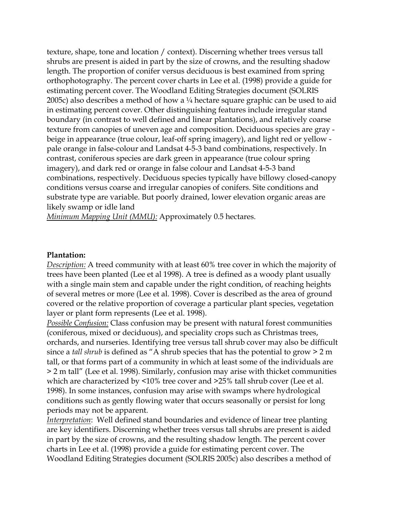texture, shape, tone and location / context). Discerning whether trees versus tall shrubs are present is aided in part by the size of crowns, and the resulting shadow length. The proportion of conifer versus deciduous is best examined from spring orthophotography. The percent cover charts in Lee et al. (1998) provide a guide for estimating percent cover. The Woodland Editing Strategies document (SOLRIS 2005c) also describes a method of how a  $\frac{1}{4}$  hectare square graphic can be used to aid in estimating percent cover. Other distinguishing features include irregular stand boundary (in contrast to well defined and linear plantations), and relatively coarse texture from canopies of uneven age and composition. Deciduous species are gray beige in appearance (true colour, leaf-off spring imagery), and light red or yellow pale orange in false-colour and Landsat 4-5-3 band combinations, respectively. In contrast, coniferous species are dark green in appearance (true colour spring imagery), and dark red or orange in false colour and Landsat 4-5-3 band combinations, respectively. Deciduous species typically have billowy closed-canopy conditions versus coarse and irregular canopies of conifers. Site conditions and substrate type are variable. But poorly drained, lower elevation organic areas are likely swamp or idle land

*Minimum Mapping Unit (MMU):* Approximately 0.5 hectares.

#### **Plantation:**

*Description:* A treed community with at least 60% tree cover in which the majority of trees have been planted (Lee et al 1998). A tree is defined as a woody plant usually with a single main stem and capable under the right condition, of reaching heights of several metres or more (Lee et al. 1998). Cover is described as the area of ground covered or the relative proportion of coverage a particular plant species, vegetation layer or plant form represents (Lee et al. 1998).

*Possible Confusion:* Class confusion may be present with natural forest communities (coniferous, mixed or deciduous), and speciality crops such as Christmas trees, orchards, and nurseries. Identifying tree versus tall shrub cover may also be difficult since a *tall shrub* is defined as "A shrub species that has the potential to grow > 2 m tall, or that forms part of a community in which at least some of the individuals are > 2 m tall" (Lee et al. 1998). Similarly, confusion may arise with thicket communities which are characterized by <10% tree cover and >25% tall shrub cover (Lee et al. 1998). In some instances, confusion may arise with swamps where hydrological conditions such as gently flowing water that occurs seasonally or persist for long periods may not be apparent.

*Interpretation*: Well defined stand boundaries and evidence of linear tree planting are key identifiers. Discerning whether trees versus tall shrubs are present is aided in part by the size of crowns, and the resulting shadow length. The percent cover charts in Lee et al. (1998) provide a guide for estimating percent cover. The Woodland Editing Strategies document (SOLRIS 2005c) also describes a method of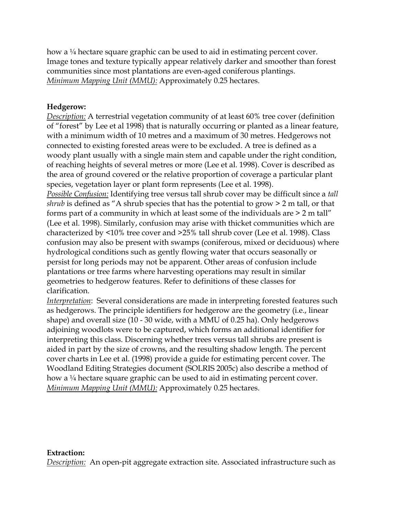how a  $\frac{1}{4}$  hectare square graphic can be used to aid in estimating percent cover. Image tones and texture typically appear relatively darker and smoother than forest communities since most plantations are even-aged coniferous plantings. *Minimum Mapping Unit (MMU):* Approximately 0.25 hectares.

#### **Hedgerow:**

*Description:* A terrestrial vegetation community of at least 60% tree cover (definition of "forest" by Lee et al 1998) that is naturally occurring or planted as a linear feature, with a minimum width of 10 metres and a maximum of 30 metres. Hedgerows not connected to existing forested areas were to be excluded. A tree is defined as a woody plant usually with a single main stem and capable under the right condition, of reaching heights of several metres or more (Lee et al. 1998). Cover is described as the area of ground covered or the relative proportion of coverage a particular plant species, vegetation layer or plant form represents (Lee et al. 1998).

*Possible Confusion:* Identifying tree versus tall shrub cover may be difficult since a *tall shrub* is defined as "A shrub species that has the potential to grow  $> 2$  m tall, or that forms part of a community in which at least some of the individuals are > 2 m tall" (Lee et al. 1998). Similarly, confusion may arise with thicket communities which are characterized by <10% tree cover and >25% tall shrub cover (Lee et al. 1998). Class confusion may also be present with swamps (coniferous, mixed or deciduous) where hydrological conditions such as gently flowing water that occurs seasonally or persist for long periods may not be apparent. Other areas of confusion include plantations or tree farms where harvesting operations may result in similar geometries to hedgerow features. Refer to definitions of these classes for clarification.

*Interpretation*: Several considerations are made in interpreting forested features such as hedgerows. The principle identifiers for hedgerow are the geometry (i.e., linear shape) and overall size (10 - 30 wide, with a MMU of 0.25 ha). Only hedgerows adjoining woodlots were to be captured, which forms an additional identifier for interpreting this class. Discerning whether trees versus tall shrubs are present is aided in part by the size of crowns, and the resulting shadow length. The percent cover charts in Lee et al. (1998) provide a guide for estimating percent cover. The Woodland Editing Strategies document (SOLRIS 2005c) also describe a method of how a ¼ hectare square graphic can be used to aid in estimating percent cover. *Minimum Mapping Unit (MMU):* Approximately 0.25 hectares.

#### **Extraction:**

*Description:* An open-pit aggregate extraction site. Associated infrastructure such as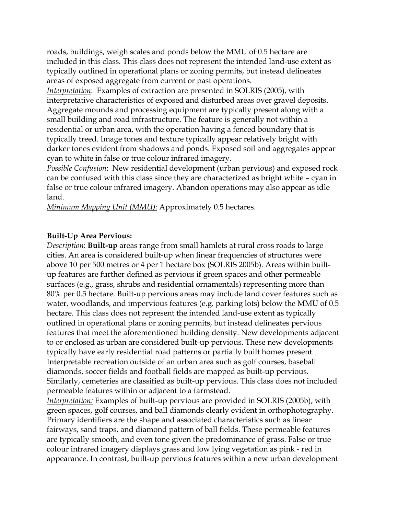roads, buildings, weigh scales and ponds below the MMU of 0.5 hectare are included in this class. This class does not represent the intended land-use extent as typically outlined in operational plans or zoning permits, but instead delineates areas of exposed aggregate from current or past operations.

*Interpretation*: Examples of extraction are presented in SOLRIS (2005), with interpretative characteristics of exposed and disturbed areas over gravel deposits. Aggregate mounds and processing equipment are typically present along with a small building and road infrastructure. The feature is generally not within a residential or urban area, with the operation having a fenced boundary that is typically treed. Image tones and texture typically appear relatively bright with darker tones evident from shadows and ponds. Exposed soil and aggregates appear cyan to white in false or true colour infrared imagery.

*Possible Confusion*: New residential development (urban pervious) and exposed rock can be confused with this class since they are characterized as bright white – cyan in false or true colour infrared imagery. Abandon operations may also appear as idle land.

*Minimum Mapping Unit (MMU):* Approximately 0.5 hectares.

#### **Built-Up Area Pervious:**

*Description*: **Built-up** areas range from small hamlets at rural cross roads to large cities. An area is considered built-up when linear frequencies of structures were above 10 per 500 metres or 4 per 1 hectare box (SOLRIS 2005b). Areas within builtup features are further defined as pervious if green spaces and other permeable surfaces (e.g., grass, shrubs and residential ornamentals) representing more than 80% per 0.5 hectare. Built-up pervious areas may include land cover features such as water, woodlands, and impervious features (e.g. parking lots) below the MMU of 0.5 hectare. This class does not represent the intended land-use extent as typically outlined in operational plans or zoning permits, but instead delineates pervious features that meet the aforementioned building density. New developments adjacent to or enclosed as urban are considered built-up pervious. These new developments typically have early residential road patterns or partially built homes present. Interpretable recreation outside of an urban area such as golf courses, baseball diamonds, soccer fields and football fields are mapped as built-up pervious. Similarly, cemeteries are classified as built-up pervious. This class does not included permeable features within or adjacent to a farmstead.

*Interpretation:* Examples of built-up pervious are provided in SOLRIS (2005b), with green spaces, golf courses, and ball diamonds clearly evident in orthophotography. Primary identifiers are the shape and associated characteristics such as linear fairways, sand traps, and diamond pattern of ball fields. These permeable features are typically smooth, and even tone given the predominance of grass. False or true colour infrared imagery displays grass and low lying vegetation as pink - red in appearance. In contrast, built-up pervious features within a new urban development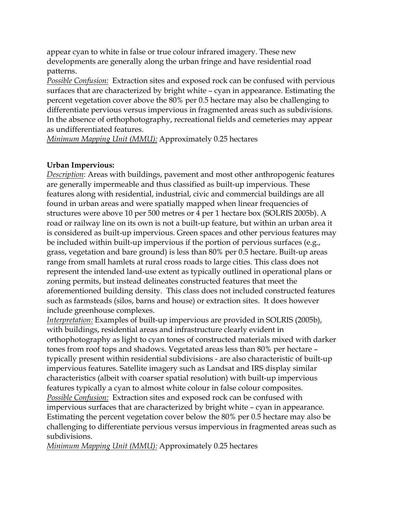appear cyan to white in false or true colour infrared imagery. These new developments are generally along the urban fringe and have residential road patterns.

*Possible Confusion:* Extraction sites and exposed rock can be confused with pervious surfaces that are characterized by bright white – cyan in appearance. Estimating the percent vegetation cover above the 80% per 0.5 hectare may also be challenging to differentiate pervious versus impervious in fragmented areas such as subdivisions. In the absence of orthophotography, recreational fields and cemeteries may appear as undifferentiated features.

*Minimum Mapping Unit (MMU):* Approximately 0.25 hectares

#### **Urban Impervious:**

*Description*: Areas with buildings, pavement and most other anthropogenic features are generally impermeable and thus classified as built-up impervious. These features along with residential, industrial, civic and commercial buildings are all found in urban areas and were spatially mapped when linear frequencies of structures were above 10 per 500 metres or 4 per 1 hectare box (SOLRIS 2005b). A road or railway line on its own is not a built-up feature, but within an urban area it is considered as built-up impervious. Green spaces and other pervious features may be included within built-up impervious if the portion of pervious surfaces (e.g., grass, vegetation and bare ground) is less than 80% per 0.5 hectare. Built-up areas range from small hamlets at rural cross roads to large cities. This class does not represent the intended land-use extent as typically outlined in operational plans or zoning permits, but instead delineates constructed features that meet the aforementioned building density. This class does not included constructed features such as farmsteads (silos, barns and house) or extraction sites. It does however include greenhouse complexes.

*Interpretation:* Examples of built-up impervious are provided in SOLRIS (2005b), with buildings, residential areas and infrastructure clearly evident in orthophotography as light to cyan tones of constructed materials mixed with darker tones from roof tops and shadows. Vegetated areas less than 80% per hectare – typically present within residential subdivisions - are also characteristic of built-up impervious features. Satellite imagery such as Landsat and IRS display similar characteristics (albeit with coarser spatial resolution) with built-up impervious features typically a cyan to almost white colour in false colour composites. *Possible Confusion:* Extraction sites and exposed rock can be confused with impervious surfaces that are characterized by bright white – cyan in appearance. Estimating the percent vegetation cover below the 80% per 0.5 hectare may also be challenging to differentiate pervious versus impervious in fragmented areas such as subdivisions.

*Minimum Mapping Unit (MMU):* Approximately 0.25 hectares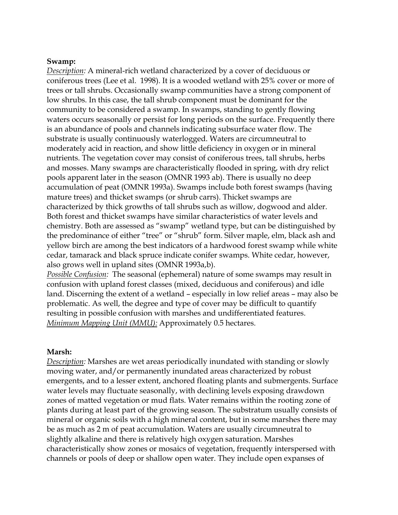#### **Swamp:**

*Description:* A mineral-rich wetland characterized by a cover of deciduous or coniferous trees (Lee et al. 1998). It is a wooded wetland with 25% cover or more of trees or tall shrubs. Occasionally swamp communities have a strong component of low shrubs. In this case, the tall shrub component must be dominant for the community to be considered a swamp. In swamps, standing to gently flowing waters occurs seasonally or persist for long periods on the surface. Frequently there is an abundance of pools and channels indicating subsurface water flow. The substrate is usually continuously waterlogged. Waters are circumneutral to moderately acid in reaction, and show little deficiency in oxygen or in mineral nutrients. The vegetation cover may consist of coniferous trees, tall shrubs, herbs and mosses. Many swamps are characteristically flooded in spring, with dry relict pools apparent later in the season (OMNR 1993 ab). There is usually no deep accumulation of peat (OMNR 1993a). Swamps include both forest swamps (having mature trees) and thicket swamps (or shrub carrs). Thicket swamps are characterized by thick growths of tall shrubs such as willow, dogwood and alder. Both forest and thicket swamps have similar characteristics of water levels and chemistry. Both are assessed as "swamp" wetland type, but can be distinguished by the predominance of either "tree" or "shrub" form. Silver maple, elm, black ash and yellow birch are among the best indicators of a hardwood forest swamp while white cedar, tamarack and black spruce indicate conifer swamps. White cedar, however, also grows well in upland sites (OMNR 1993a,b).

*Possible Confusion:* The seasonal (ephemeral) nature of some swamps may result in confusion with upland forest classes (mixed, deciduous and coniferous) and idle land. Discerning the extent of a wetland – especially in low relief areas – may also be problematic. As well, the degree and type of cover may be difficult to quantify resulting in possible confusion with marshes and undifferentiated features. *Minimum Mapping Unit (MMU):* Approximately 0.5 hectares.

#### **Marsh:**

*Description:* Marshes are wet areas periodically inundated with standing or slowly moving water, and/or permanently inundated areas characterized by robust emergents, and to a lesser extent, anchored floating plants and submergents. Surface water levels may fluctuate seasonally, with declining levels exposing drawdown zones of matted vegetation or mud flats. Water remains within the rooting zone of plants during at least part of the growing season. The substratum usually consists of mineral or organic soils with a high mineral content, but in some marshes there may be as much as 2 m of peat accumulation. Waters are usually circumneutral to slightly alkaline and there is relatively high oxygen saturation. Marshes characteristically show zones or mosaics of vegetation, frequently interspersed with channels or pools of deep or shallow open water. They include open expanses of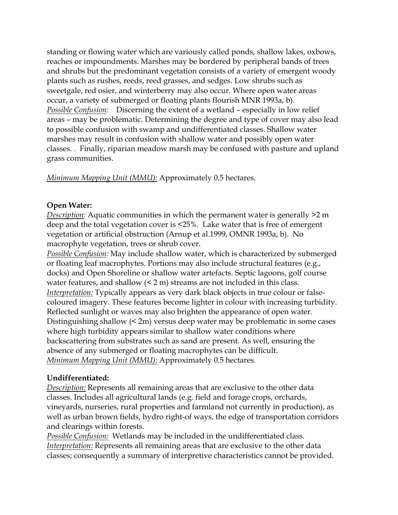standing or flowing water which are variously called ponds, shallow lakes, oxbows, reaches or impoundments. Marshes may be bordered by peripheral bands of trees and shrubs but the predominant vegetation consists of a variety of emergent woody plants such as rushes, reeds, reed grasses, and sedges. Low shrubs such as sweetgale, red osier, and winterberry may also occur. Where open water areas occur, a variety of submerged or floating plants flourish MNR 1993a, b). *Possible Confusion:* Discerning the extent of a wetland – especially in low relief areas – may be problematic. Determining the degree and type of cover may also lead to possible confusion with swamp and undifferentiated classes. Shallow water marshes may result in confusion with shallow water and possibly open water classes. . Finally, riparian meadow marsh may be confused with pasture and upland grass communities.

*Minimum Mapping Unit (MMU):* Approximately 0.5 hectares.

## **Open Water:**

*Description:* Aquatic communities in which the permanent water is generally  $>2$  m deep and the total vegetation cover is <25%. Lake water that is free of emergent vegetation or artificial obstruction (Arnup et al.1999, OMNR 1993a, b). No macrophyte vegetation, trees or shrub cover.

*Possible Confusion:* May include shallow water, which is characterized by submerged or floating leaf macrophytes. Portions may also include structural features (e.g., docks) and Open Shoreline or shallow water artefacts. Septic lagoons, golf course water features, and shallow  $(2 \text{ m})$  streams are not included in this class. *Interpretation:* Typically appears as very dark black objects in true colour or falsecoloured imagery. These features become lighter in colour with increasing turbidity. Reflected sunlight or waves may also brighten the appearance of open water. Distinguishing shallow (< 2m) versus deep water may be problematic in some cases where high turbidity appears similar to shallow water conditions where backscattering from substrates such as sand are present. As well, ensuring the absence of any submerged or floating macrophytes can be difficult. *Minimum Mapping Unit (MMU):* Approximately 0.5 hectares.

## **Undifferentiated:**

*Description:* Represents all remaining areas that are exclusive to the other data classes. Includes all agricultural lands (e.g. field and forage crops, orchards, vineyards, nurseries, rural properties and farmland not currently in production), as well as urban brown fields, hydro right-of ways, the edge of transportation corridors and clearings within forests.

*Possible Confusion:* Wetlands may be included in the undifferentiated class. *Interpretation:* Represents all remaining areas that are exclusive to the other data classes; consequently a summary of interpretive characteristics cannot be provided.